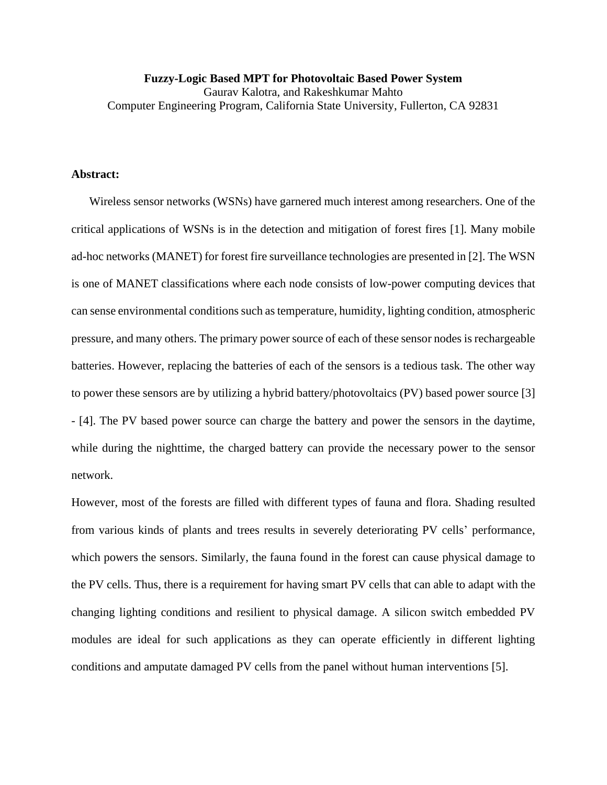**Fuzzy-Logic Based MPT for Photovoltaic Based Power System** Gaurav Kalotra, and Rakeshkumar Mahto Computer Engineering Program, California State University, Fullerton, CA 92831

## **Abstract:**

Wireless sensor networks (WSNs) have garnered much interest among researchers. One of the critical applications of WSNs is in the detection and mitigation of forest fires [1]. Many mobile ad-hoc networks (MANET) for forest fire surveillance technologies are presented in [2]. The WSN is one of MANET classifications where each node consists of low-power computing devices that can sense environmental conditions such as temperature, humidity, lighting condition, atmospheric pressure, and many others. The primary power source of each of these sensor nodes is rechargeable batteries. However, replacing the batteries of each of the sensors is a tedious task. The other way to power these sensors are by utilizing a hybrid battery/photovoltaics (PV) based power source [3] - [4]. The PV based power source can charge the battery and power the sensors in the daytime, while during the nighttime, the charged battery can provide the necessary power to the sensor network.

However, most of the forests are filled with different types of fauna and flora. Shading resulted from various kinds of plants and trees results in severely deteriorating PV cells' performance, which powers the sensors. Similarly, the fauna found in the forest can cause physical damage to the PV cells. Thus, there is a requirement for having smart PV cells that can able to adapt with the changing lighting conditions and resilient to physical damage. A silicon switch embedded PV modules are ideal for such applications as they can operate efficiently in different lighting conditions and amputate damaged PV cells from the panel without human interventions [5].